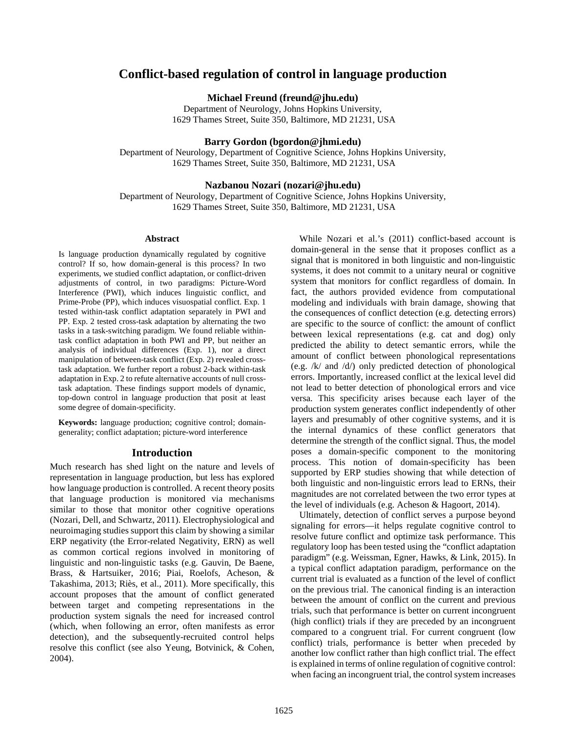# **Conflict-based regulation of control in language production**

**Michael Freund (freund@jhu.edu)**

Department of Neurology, Johns Hopkins University, 1629 Thames Street, Suite 350, Baltimore, MD 21231, USA

# **Barry Gordon (bgordon@jhmi.edu)**

Department of Neurology, Department of Cognitive Science, Johns Hopkins University, 1629 Thames Street, Suite 350, Baltimore, MD 21231, USA

#### **Nazbanou Nozari (nozari@jhu.edu)**

Department of Neurology, Department of Cognitive Science, Johns Hopkins University, 1629 Thames Street, Suite 350, Baltimore, MD 21231, USA

#### **Abstract**

Is language production dynamically regulated by cognitive control? If so, how domain-general is this process? In two experiments, we studied conflict adaptation, or conflict-driven adjustments of control, in two paradigms: Picture-Word Interference (PWI), which induces linguistic conflict, and Prime-Probe (PP), which induces visuospatial conflict. Exp. 1 tested within-task conflict adaptation separately in PWI and PP. Exp. 2 tested cross-task adaptation by alternating the two tasks in a task-switching paradigm. We found reliable withintask conflict adaptation in both PWI and PP, but neither an analysis of individual differences (Exp. 1), nor a direct manipulation of between-task conflict (Exp. 2) revealed crosstask adaptation. We further report a robust 2-back within-task adaptation in Exp. 2 to refute alternative accounts of null crosstask adaptation. These findings support models of dynamic, top-down control in language production that posit at least some degree of domain-specificity.

**Keywords:** language production; cognitive control; domaingenerality; conflict adaptation; picture-word interference

### **Introduction**

Much research has shed light on the nature and levels of representation in language production, but less has explored how language production is controlled. A recent theory posits that language production is monitored via mechanisms similar to those that monitor other cognitive operations (Nozari, Dell, and Schwartz, 2011). Electrophysiological and neuroimaging studies support this claim by showing a similar ERP negativity (the Error-related Negativity, ERN) as well as common cortical regions involved in monitoring of linguistic and non-linguistic tasks (e.g. Gauvin, De Baene, Brass, & Hartsuiker, 2016; Piai, Roelofs, Acheson, & Takashima, 2013; Riès, et al., 2011). More specifically, this account proposes that the amount of conflict generated between target and competing representations in the production system signals the need for increased control (which, when following an error, often manifests as error detection), and the subsequently-recruited control helps resolve this conflict (see also Yeung, Botvinick, & Cohen, 2004).

While Nozari et al.'s (2011) conflict-based account is domain-general in the sense that it proposes conflict as a signal that is monitored in both linguistic and non-linguistic systems, it does not commit to a unitary neural or cognitive system that monitors for conflict regardless of domain. In fact, the authors provided evidence from computational modeling and individuals with brain damage, showing that the consequences of conflict detection (e.g. detecting errors) are specific to the source of conflict: the amount of conflict between lexical representations (e.g. cat and dog) only predicted the ability to detect semantic errors, while the amount of conflict between phonological representations (e.g. /k/ and /d/) only predicted detection of phonological errors. Importantly, increased conflict at the lexical level did not lead to better detection of phonological errors and vice versa. This specificity arises because each layer of the production system generates conflict independently of other layers and presumably of other cognitive systems, and it is the internal dynamics of these conflict generators that determine the strength of the conflict signal. Thus, the model poses a domain-specific component to the monitoring process. This notion of domain-specificity has been supported by ERP studies showing that while detection of both linguistic and non-linguistic errors lead to ERNs, their magnitudes are not correlated between the two error types at the level of individuals (e.g. Acheson & Hagoort, 2014).

Ultimately, detection of conflict serves a purpose beyond signaling for errors—it helps regulate cognitive control to resolve future conflict and optimize task performance. This regulatory loop has been tested using the "conflict adaptation paradigm" (e.g. Weissman, Egner, Hawks, & Link, 2015). In a typical conflict adaptation paradigm, performance on the current trial is evaluated as a function of the level of conflict on the previous trial. The canonical finding is an interaction between the amount of conflict on the current and previous trials, such that performance is better on current incongruent (high conflict) trials if they are preceded by an incongruent compared to a congruent trial. For current congruent (low conflict) trials, performance is better when preceded by another low conflict rather than high conflict trial. The effect is explained in terms of online regulation of cognitive control: when facing an incongruent trial, the control system increases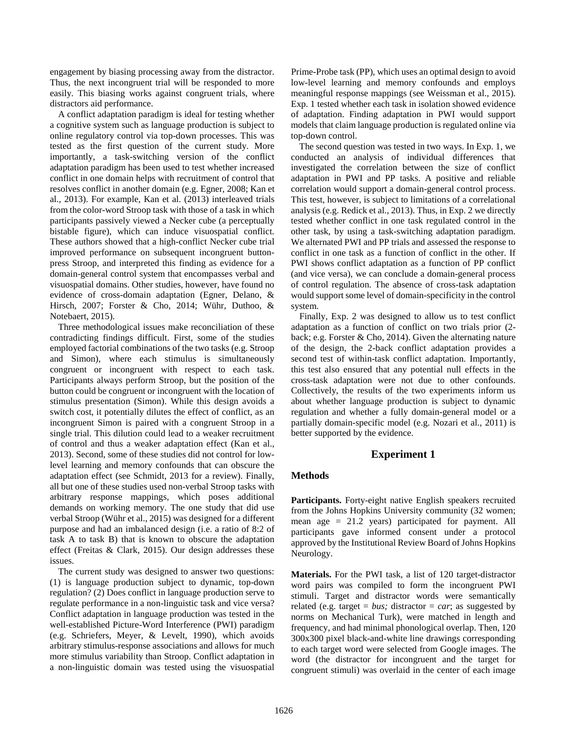engagement by biasing processing away from the distractor. Thus, the next incongruent trial will be responded to more easily. This biasing works against congruent trials, where distractors aid performance.

A conflict adaptation paradigm is ideal for testing whether a cognitive system such as language production is subject to online regulatory control via top-down processes. This was tested as the first question of the current study. More importantly, a task-switching version of the conflict adaptation paradigm has been used to test whether increased conflict in one domain helps with recruitment of control that resolves conflict in another domain (e.g. Egner, 2008; Kan et al., 2013). For example, Kan et al. (2013) interleaved trials from the color-word Stroop task with those of a task in which participants passively viewed a Necker cube (a perceptually bistable figure), which can induce visuospatial conflict. These authors showed that a high-conflict Necker cube trial improved performance on subsequent incongruent buttonpress Stroop, and interpreted this finding as evidence for a domain-general control system that encompasses verbal and visuospatial domains. Other studies, however, have found no evidence of cross-domain adaptation (Egner, Delano, & Hirsch, 2007; Forster & Cho, 2014; Wühr, Duthoo, & Notebaert, 2015).

Three methodological issues make reconciliation of these contradicting findings difficult. First, some of the studies employed factorial combinations of the two tasks (e.g. Stroop and Simon), where each stimulus is simultaneously congruent or incongruent with respect to each task. Participants always perform Stroop, but the position of the button could be congruent or incongruent with the location of stimulus presentation (Simon). While this design avoids a switch cost, it potentially dilutes the effect of conflict, as an incongruent Simon is paired with a congruent Stroop in a single trial. This dilution could lead to a weaker recruitment of control and thus a weaker adaptation effect (Kan et al., 2013). Second, some of these studies did not control for lowlevel learning and memory confounds that can obscure the adaptation effect (see Schmidt, 2013 for a review). Finally, all but one of these studies used non-verbal Stroop tasks with arbitrary response mappings, which poses additional demands on working memory. The one study that did use verbal Stroop (Wühr et al., 2015) was designed for a different purpose and had an imbalanced design (i.e. a ratio of 8:2 of task A to task B) that is known to obscure the adaptation effect (Freitas & Clark, 2015). Our design addresses these issues.

The current study was designed to answer two questions: (1) is language production subject to dynamic, top-down regulation? (2) Does conflict in language production serve to regulate performance in a non-linguistic task and vice versa? Conflict adaptation in language production was tested in the well-established Picture-Word Interference (PWI) paradigm (e.g. Schriefers, Meyer, & Levelt, 1990), which avoids arbitrary stimulus-response associations and allows for much more stimulus variability than Stroop. Conflict adaptation in a non-linguistic domain was tested using the visuospatial Prime-Probe task (PP), which uses an optimal design to avoid low-level learning and memory confounds and employs meaningful response mappings (see Weissman et al., 2015). Exp. 1 tested whether each task in isolation showed evidence of adaptation. Finding adaptation in PWI would support models that claim language production is regulated online via top-down control.

The second question was tested in two ways. In Exp. 1, we conducted an analysis of individual differences that investigated the correlation between the size of conflict adaptation in PWI and PP tasks. A positive and reliable correlation would support a domain-general control process. This test, however, is subject to limitations of a correlational analysis (e.g. Redick et al., 2013). Thus, in Exp. 2 we directly tested whether conflict in one task regulated control in the other task, by using a task-switching adaptation paradigm. We alternated PWI and PP trials and assessed the response to conflict in one task as a function of conflict in the other. If PWI shows conflict adaptation as a function of PP conflict (and vice versa), we can conclude a domain-general process of control regulation. The absence of cross-task adaptation would support some level of domain-specificity in the control system.

Finally, Exp. 2 was designed to allow us to test conflict adaptation as a function of conflict on two trials prior (2 back; e.g. Forster & Cho, 2014). Given the alternating nature of the design, the 2-back conflict adaptation provides a second test of within-task conflict adaptation. Importantly, this test also ensured that any potential null effects in the cross-task adaptation were not due to other confounds. Collectively, the results of the two experiments inform us about whether language production is subject to dynamic regulation and whether a fully domain-general model or a partially domain-specific model (e.g. Nozari et al., 2011) is better supported by the evidence.

# **Experiment 1**

# **Methods**

**Participants.** Forty-eight native English speakers recruited from the Johns Hopkins University community (32 women; mean age = 21.2 years) participated for payment. All participants gave informed consent under a protocol approved by the Institutional Review Board of Johns Hopkins Neurology.

**Materials.** For the PWI task, a list of 120 target-distractor word pairs was compiled to form the incongruent PWI stimuli. Target and distractor words were semantically related (e.g. target  $= bus$ ; distractor  $= car$ ; as suggested by norms on Mechanical Turk), were matched in length and frequency, and had minimal phonological overlap. Then, 120 300x300 pixel black-and-white line drawings corresponding to each target word were selected from Google images. The word (the distractor for incongruent and the target for congruent stimuli) was overlaid in the center of each image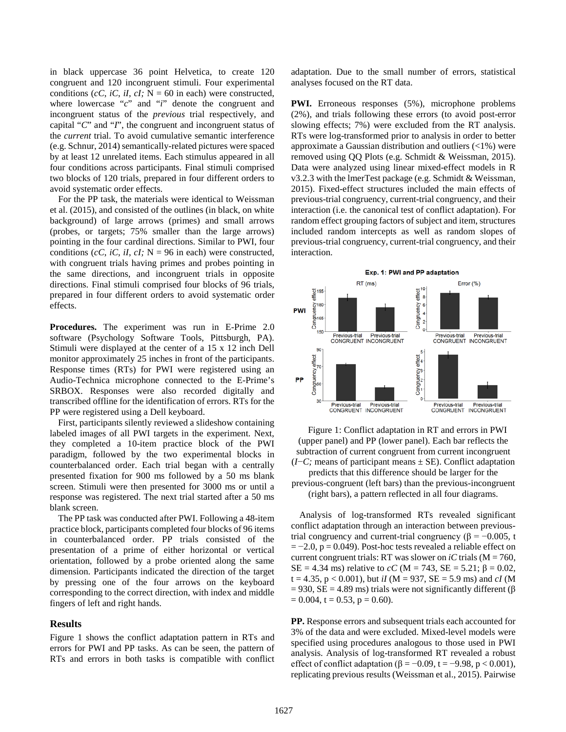in black uppercase 36 point Helvetica, to create 120 congruent and 120 incongruent stimuli. Four experimental conditions (*cC*, *iC*, *iI*, *cI*;  $N = 60$  in each) were constructed, where lowercase "*c*" and "*i*" denote the congruent and incongruent status of the *previous* trial respectively, and capital "*C*" and "*I*", the congruent and incongruent status of the *current* trial. To avoid cumulative semantic interference (e.g. Schnur, 2014) semantically-related pictures were spaced by at least 12 unrelated items. Each stimulus appeared in all four conditions across participants. Final stimuli comprised two blocks of 120 trials, prepared in four different orders to avoid systematic order effects.

For the PP task, the materials were identical to Weissman et al. (2015), and consisted of the outlines (in black, on white background) of large arrows (primes) and small arrows (probes, or targets; 75% smaller than the large arrows) pointing in the four cardinal directions. Similar to PWI, four conditions (*cC*, *iC*, *iI*, *cI*;  $N = 96$  in each) were constructed, with congruent trials having primes and probes pointing in the same directions, and incongruent trials in opposite directions. Final stimuli comprised four blocks of 96 trials, prepared in four different orders to avoid systematic order effects.

**Procedures.** The experiment was run in E-Prime 2.0 software (Psychology Software Tools, Pittsburgh, PA). Stimuli were displayed at the center of a 15 x 12 inch Dell monitor approximately 25 inches in front of the participants. Response times (RTs) for PWI were registered using an Audio-Technica microphone connected to the E-Prime's SRBOX. Responses were also recorded digitally and transcribed offline for the identification of errors. RTs for the PP were registered using a Dell keyboard.

First, participants silently reviewed a slideshow containing labeled images of all PWI targets in the experiment. Next, they completed a 10-item practice block of the PWI paradigm, followed by the two experimental blocks in counterbalanced order. Each trial began with a centrally presented fixation for 900 ms followed by a 50 ms blank screen. Stimuli were then presented for 3000 ms or until a response was registered. The next trial started after a 50 ms blank screen.

The PP task was conducted after PWI. Following a 48-item practice block, participants completed four blocks of 96 items in counterbalanced order. PP trials consisted of the presentation of a prime of either horizontal or vertical orientation, followed by a probe oriented along the same dimension. Participants indicated the direction of the target by pressing one of the four arrows on the keyboard corresponding to the correct direction, with index and middle fingers of left and right hands.

# **Results**

Figure 1 shows the conflict adaptation pattern in RTs and errors for PWI and PP tasks. As can be seen, the pattern of RTs and errors in both tasks is compatible with conflict adaptation. Due to the small number of errors, statistical analyses focused on the RT data.

**PWI.** Erroneous responses (5%), microphone problems (2%), and trials following these errors (to avoid post-error slowing effects; 7%) were excluded from the RT analysis. RTs were log-transformed prior to analysis in order to better approximate a Gaussian distribution and outliers (<1%) were removed using QQ Plots (e.g. Schmidt & Weissman, 2015). Data were analyzed using linear mixed-effect models in R v3.2.3 with the lmerTest package (e.g. Schmidt & Weissman, 2015). Fixed-effect structures included the main effects of previous-trial congruency, current-trial congruency, and their interaction (i.e. the canonical test of conflict adaptation). For random effect grouping factors of subject and item, structures included random intercepts as well as random slopes of previous-trial congruency, current-trial congruency, and their interaction.



Figure 1: Conflict adaptation in RT and errors in PWI (upper panel) and PP (lower panel). Each bar reflects the subtraction of current congruent from current incongruent (*I*−*C;* means of participant means ± SE). Conflict adaptation

predicts that this difference should be larger for the previous-congruent (left bars) than the previous-incongruent (right bars), a pattern reflected in all four diagrams.

Analysis of log-transformed RTs revealed significant conflict adaptation through an interaction between previoustrial congruency and current-trial congruency ( $\beta = -0.005$ , t  $=-2.0, p = 0.049$ . Post-hoc tests revealed a reliable effect on current congruent trials: RT was slower on *iC* trials ( $M = 760$ , SE = 4.34 ms) relative to *cC* (M = 743, SE = 5.21;  $\beta$  = 0.02,  $t = 4.35$ ,  $p < 0.001$ ), but *iI* (M = 937, SE = 5.9 ms) and *cI* (M  $= 930$ , SE = 4.89 ms) trials were not significantly different (β  $= 0.004$ , t  $= 0.53$ , p  $= 0.60$ ).

**PP.** Response errors and subsequent trials each accounted for 3% of the data and were excluded. Mixed-level models were specified using procedures analogous to those used in PWI analysis. Analysis of log-transformed RT revealed a robust effect of conflict adaptation ( $\beta = -0.09$ , t = -9.98, p < 0.001), replicating previous results (Weissman et al., 2015). Pairwise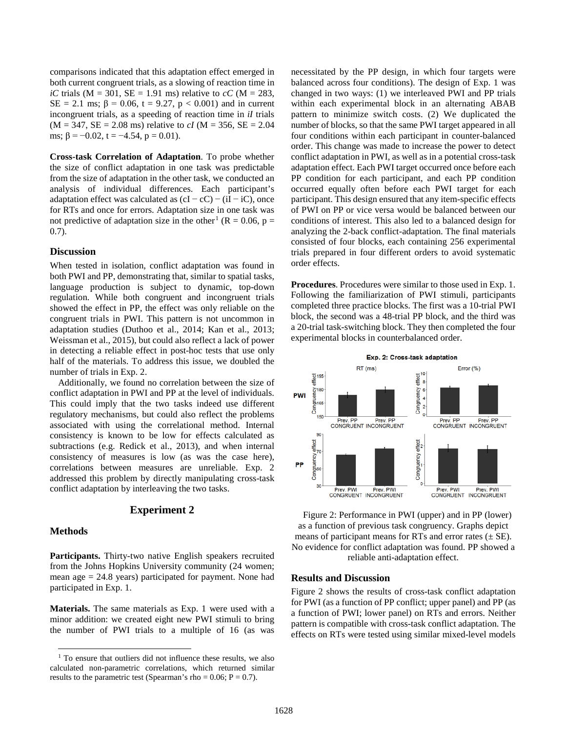comparisons indicated that this adaptation effect emerged in both current congruent trials, as a slowing of reaction time in *iC* trials ( $M = 301$ ,  $SE = 1.91$  ms) relative to *cC* ( $M = 283$ , SE = 2.1 ms;  $\beta$  = 0.06, t = 9.27, p < 0.001) and in current incongruent trials, as a speeding of reaction time in *iI* trials  $(M = 347, SE = 2.08 \text{ ms})$  relative to *cI*  $(M = 356, SE = 2.04$ ms;  $\beta = -0.02$ , t =  $-4.54$ , p = 0.01).

**Cross-task Correlation of Adaptation**. To probe whether the size of conflict adaptation in one task was predictable from the size of adaptation in the other task, we conducted an analysis of individual differences. Each participant's adaptation effect was calculated as  $(cI - cC) - (iI - iC)$ , once for RTs and once for errors. Adaptation size in one task was not predictive of adaptation size in the other<sup>[1](#page-3-0)</sup> ( $R = 0.06$ ,  $p =$ 0.7).

# **Discussion**

When tested in isolation, conflict adaptation was found in both PWI and PP, demonstrating that, similar to spatial tasks, language production is subject to dynamic, top-down regulation. While both congruent and incongruent trials showed the effect in PP, the effect was only reliable on the congruent trials in PWI. This pattern is not uncommon in adaptation studies (Duthoo et al., 2014; Kan et al., 2013; Weissman et al., 2015), but could also reflect a lack of power in detecting a reliable effect in post-hoc tests that use only half of the materials. To address this issue, we doubled the number of trials in Exp. 2.

Additionally, we found no correlation between the size of conflict adaptation in PWI and PP at the level of individuals. This could imply that the two tasks indeed use different regulatory mechanisms, but could also reflect the problems associated with using the correlational method. Internal consistency is known to be low for effects calculated as subtractions (e.g. Redick et al., 2013), and when internal consistency of measures is low (as was the case here), correlations between measures are unreliable. Exp. 2 addressed this problem by directly manipulating cross-task conflict adaptation by interleaving the two tasks.

# **Experiment 2**

### **Methods**

**Participants.** Thirty-two native English speakers recruited from the Johns Hopkins University community (24 women; mean age  $= 24.8$  years) participated for payment. None had participated in Exp. 1.

**Materials.** The same materials as Exp. 1 were used with a minor addition: we created eight new PWI stimuli to bring the number of PWI trials to a multiple of 16 (as was necessitated by the PP design, in which four targets were balanced across four conditions). The design of Exp. 1 was changed in two ways: (1) we interleaved PWI and PP trials within each experimental block in an alternating ABAB pattern to minimize switch costs. (2) We duplicated the number of blocks, so that the same PWI target appeared in all four conditions within each participant in counter-balanced order. This change was made to increase the power to detect conflict adaptation in PWI, as well as in a potential cross-task adaptation effect. Each PWI target occurred once before each PP condition for each participant, and each PP condition occurred equally often before each PWI target for each participant. This design ensured that any item-specific effects of PWI on PP or vice versa would be balanced between our conditions of interest. This also led to a balanced design for analyzing the 2-back conflict-adaptation. The final materials consisted of four blocks, each containing 256 experimental trials prepared in four different orders to avoid systematic order effects.

**Procedures**. Procedures were similar to those used in Exp. 1. Following the familiarization of PWI stimuli, participants completed three practice blocks. The first was a 10-trial PWI block, the second was a 48-trial PP block, and the third was a 20-trial task-switching block. They then completed the four experimental blocks in counterbalanced order.



Figure 2: Performance in PWI (upper) and in PP (lower) as a function of previous task congruency. Graphs depict means of participant means for RTs and error rates  $(\pm SE)$ . No evidence for conflict adaptation was found. PP showed a reliable anti-adaptation effect.

# **Results and Discussion**

Figure 2 shows the results of cross-task conflict adaptation for PWI (as a function of PP conflict; upper panel) and PP (as a function of PWI; lower panel) on RTs and errors. Neither pattern is compatible with cross-task conflict adaptation. The effects on RTs were tested using similar mixed-level models

<span id="page-3-0"></span><sup>&</sup>lt;sup>1</sup> To ensure that outliers did not influence these results, we also calculated non-parametric correlations, which returned similar results to the parametric test (Spearman's rho =  $0.06$ ; P =  $0.7$ ).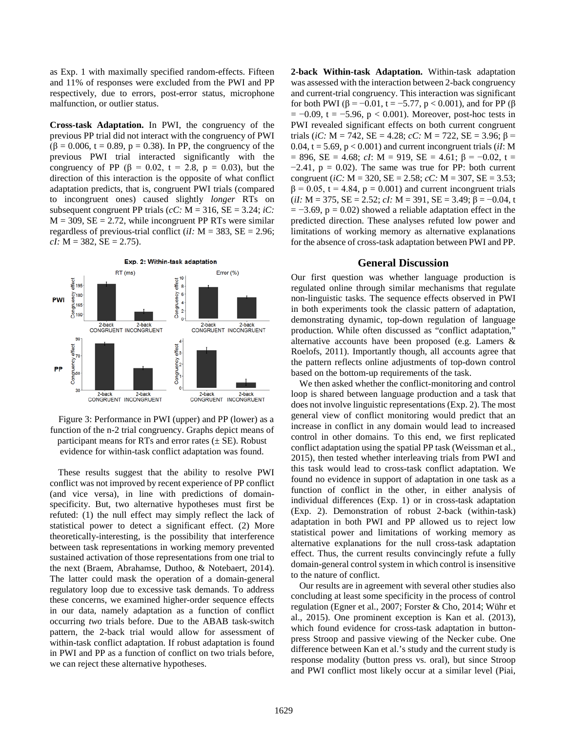as Exp. 1 with maximally specified random-effects. Fifteen and 11% of responses were excluded from the PWI and PP respectively, due to errors, post-error status, microphone malfunction, or outlier status.

**Cross-task Adaptation.** In PWI, the congruency of the previous PP trial did not interact with the congruency of PWI ( $\beta$  = 0.006, t = 0.89, p = 0.38). In PP, the congruency of the previous PWI trial interacted significantly with the congruency of PP (β = 0.02, t = 2.8, p = 0.03), but the direction of this interaction is the opposite of what conflict adaptation predicts, that is, congruent PWI trials (compared to incongruent ones) caused slightly *longer* RTs on subsequent congruent PP trials ( $cC$ : M = 316, SE = 3.24; *iC*:  $M = 309$ ,  $SE = 2.72$ , while incongruent PP RTs were similar regardless of previous-trial conflict (*iI:* M = 383, SE = 2.96;  $cI: M = 382, SE = 2.75$ .



Figure 3: Performance in PWI (upper) and PP (lower) as a function of the n-2 trial congruency. Graphs depict means of participant means for RTs and error rates  $(\pm SE)$ . Robust evidence for within-task conflict adaptation was found.

These results suggest that the ability to resolve PWI conflict was not improved by recent experience of PP conflict (and vice versa), in line with predictions of domainspecificity. But, two alternative hypotheses must first be refuted: (1) the null effect may simply reflect the lack of statistical power to detect a significant effect. (2) More theoretically-interesting, is the possibility that interference between task representations in working memory prevented sustained activation of those representations from one trial to the next (Braem, Abrahamse, Duthoo, & Notebaert, 2014). The latter could mask the operation of a domain-general regulatory loop due to excessive task demands. To address these concerns, we examined higher-order sequence effects in our data, namely adaptation as a function of conflict occurring *two* trials before. Due to the ABAB task-switch pattern, the 2-back trial would allow for assessment of within-task conflict adaptation. If robust adaptation is found in PWI and PP as a function of conflict on two trials before, we can reject these alternative hypotheses.

**2-back Within-task Adaptation.** Within-task adaptation was assessed with the interaction between 2-back congruency and current-trial congruency. This interaction was significant for both PWI (β = -0.01, t = -5.77, p < 0.001), and for PP (β  $= -0.09$ , t =  $-5.96$ , p < 0.001). Moreover, post-hoc tests in PWI revealed significant effects on both current congruent trials (*iC:* M = 742, SE = 4.28; *cC:* M = 722, SE = 3.96; β = 0.04,  $t = 5.69$ ,  $p < 0.001$ ) and current incongruent trials (*iI*: M  $= 896$ , SE = 4.68; *cI*: M = 919, SE = 4.61;  $\beta = -0.02$ , t =  $-2.41$ ,  $p = 0.02$ ). The same was true for PP: both current congruent (*iC:* M = 320, SE = 2.58; *cC:* M = 307, SE = 3.53;  $\beta = 0.05$ , t = 4.84, p = 0.001) and current incongruent trials  $(iI: M = 375, SE = 2.52; cI: M = 391, SE = 3.49; \beta = -0.04, t$  $= -3.69$ ,  $p = 0.02$ ) showed a reliable adaptation effect in the predicted direction. These analyses refuted low power and limitations of working memory as alternative explanations for the absence of cross-task adaptation between PWI and PP.

#### **General Discussion**

Our first question was whether language production is regulated online through similar mechanisms that regulate non-linguistic tasks. The sequence effects observed in PWI in both experiments took the classic pattern of adaptation, demonstrating dynamic, top-down regulation of language production. While often discussed as "conflict adaptation," alternative accounts have been proposed (e.g. Lamers & Roelofs, 2011). Importantly though, all accounts agree that the pattern reflects online adjustments of top-down control based on the bottom-up requirements of the task.

We then asked whether the conflict-monitoring and control loop is shared between language production and a task that does not involve linguistic representations (Exp. 2). The most general view of conflict monitoring would predict that an increase in conflict in any domain would lead to increased control in other domains. To this end, we first replicated conflict adaptation using the spatial PP task (Weissman et al., 2015), then tested whether interleaving trials from PWI and this task would lead to cross-task conflict adaptation. We found no evidence in support of adaptation in one task as a function of conflict in the other, in either analysis of individual differences (Exp. 1) or in cross-task adaptation (Exp. 2). Demonstration of robust 2-back (within-task) adaptation in both PWI and PP allowed us to reject low statistical power and limitations of working memory as alternative explanations for the null cross-task adaptation effect. Thus, the current results convincingly refute a fully domain-general control system in which control is insensitive to the nature of conflict.

Our results are in agreement with several other studies also concluding at least some specificity in the process of control regulation (Egner et al., 2007; Forster & Cho, 2014; Wühr et al., 2015). One prominent exception is Kan et al. (2013), which found evidence for cross-task adaptation in buttonpress Stroop and passive viewing of the Necker cube. One difference between Kan et al.'s study and the current study is response modality (button press vs. oral), but since Stroop and PWI conflict most likely occur at a similar level (Piai,